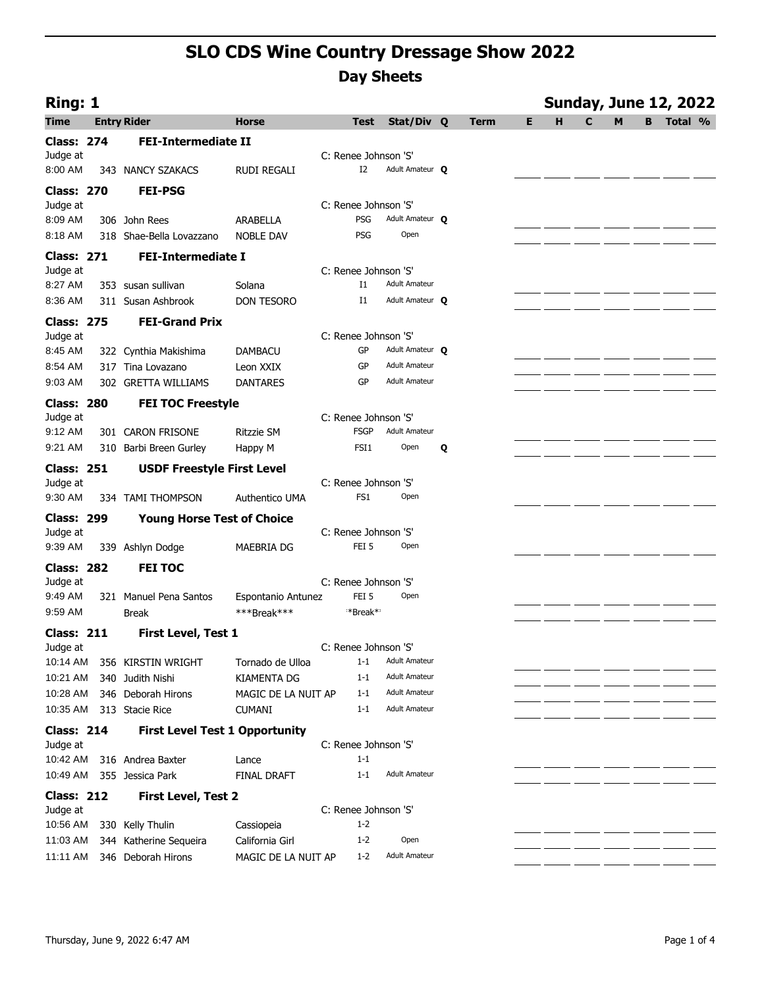| Ring: 1                       |                                       | <b>Sunday, June 12, 2022</b> |                                |                      |   |      |   |   |              |   |  |                  |  |  |  |
|-------------------------------|---------------------------------------|------------------------------|--------------------------------|----------------------|---|------|---|---|--------------|---|--|------------------|--|--|--|
| Time                          | <b>Entry Rider</b>                    | <b>Horse</b>                 | <b>Test</b>                    | Stat/Div Q           |   | Term | Е | н | $\mathbf{C}$ | M |  | <b>B</b> Total % |  |  |  |
| <b>Class: 274</b>             | <b>FEI-Intermediate II</b>            |                              |                                |                      |   |      |   |   |              |   |  |                  |  |  |  |
| Judge at                      |                                       |                              | C: Renee Johnson 'S'           |                      |   |      |   |   |              |   |  |                  |  |  |  |
| 8:00 AM                       | 343 NANCY SZAKACS                     | <b>RUDI REGALI</b>           | I <sub>2</sub>                 | Adult Amateur O      |   |      |   |   |              |   |  |                  |  |  |  |
| <b>Class: 270</b>             | <b>FEI-PSG</b>                        |                              |                                |                      |   |      |   |   |              |   |  |                  |  |  |  |
| Judge at                      |                                       |                              | C: Renee Johnson 'S'           |                      |   |      |   |   |              |   |  |                  |  |  |  |
| 8:09 AM                       | 306 John Rees                         | <b>ARABELLA</b>              | PSG                            | Adult Amateur O      |   |      |   |   |              |   |  |                  |  |  |  |
| 8:18 AM                       | 318 Shae-Bella Lovazzano              | <b>NOBLE DAV</b>             | <b>PSG</b>                     | Open                 |   |      |   |   |              |   |  |                  |  |  |  |
| <b>Class: 271</b>             | <b>FEI-Intermediate I</b>             |                              |                                |                      |   |      |   |   |              |   |  |                  |  |  |  |
| Judge at                      |                                       |                              | C: Renee Johnson 'S'           |                      |   |      |   |   |              |   |  |                  |  |  |  |
| 8:27 AM                       | 353 susan sullivan                    | Solana                       | $_{\rm I1}$                    | <b>Adult Amateur</b> |   |      |   |   |              |   |  |                  |  |  |  |
| 8:36 AM                       | 311 Susan Ashbrook                    | DON TESORO                   | $_{\rm I1}$                    | Adult Amateur O      |   |      |   |   |              |   |  |                  |  |  |  |
| <b>Class: 275</b>             | <b>FEI-Grand Prix</b>                 |                              |                                |                      |   |      |   |   |              |   |  |                  |  |  |  |
| Judge at                      |                                       |                              | C: Renee Johnson 'S'           |                      |   |      |   |   |              |   |  |                  |  |  |  |
| 8:45 AM                       | 322 Cynthia Makishima                 | <b>DAMBACU</b>               | GP                             | Adult Amateur Q      |   |      |   |   |              |   |  |                  |  |  |  |
| 8:54 AM                       | 317 Tina Lovazano                     | Leon XXIX                    | GP                             | <b>Adult Amateur</b> |   |      |   |   |              |   |  |                  |  |  |  |
| 9:03 AM                       | 302 GRETTA WILLIAMS                   | <b>DANTARES</b>              | GP                             | <b>Adult Amateur</b> |   |      |   |   |              |   |  |                  |  |  |  |
|                               |                                       |                              |                                |                      |   |      |   |   |              |   |  |                  |  |  |  |
| <b>Class: 280</b><br>Judge at | <b>FEI TOC Freestyle</b>              |                              | C: Renee Johnson 'S'           |                      |   |      |   |   |              |   |  |                  |  |  |  |
| $9:12$ AM                     | 301 CARON FRISONE                     | Ritzzie SM                   | <b>FSGP</b>                    | <b>Adult Amateur</b> |   |      |   |   |              |   |  |                  |  |  |  |
| 9:21 AM                       |                                       |                              | FSI <sub>1</sub>               | Open                 |   |      |   |   |              |   |  |                  |  |  |  |
|                               | 310 Barbi Breen Gurley                | Happy M                      |                                |                      | Q |      |   |   |              |   |  |                  |  |  |  |
| <b>Class: 251</b>             | <b>USDF Freestyle First Level</b>     |                              |                                |                      |   |      |   |   |              |   |  |                  |  |  |  |
| Judge at                      |                                       |                              | C: Renee Johnson 'S'           |                      |   |      |   |   |              |   |  |                  |  |  |  |
| 9:30 AM                       | 334 TAMI THOMPSON                     | Authentico UMA               | FS1                            | Open                 |   |      |   |   |              |   |  |                  |  |  |  |
| <b>Class: 299</b>             | <b>Young Horse Test of Choice</b>     |                              |                                |                      |   |      |   |   |              |   |  |                  |  |  |  |
| Judge at                      |                                       |                              | C: Renee Johnson 'S'           |                      |   |      |   |   |              |   |  |                  |  |  |  |
| 9:39 AM                       | 339 Ashlyn Dodge                      | MAEBRIA DG                   | FEI <sub>5</sub>               | Open                 |   |      |   |   |              |   |  |                  |  |  |  |
| <b>Class: 282</b>             | <b>FEI TOC</b>                        |                              |                                |                      |   |      |   |   |              |   |  |                  |  |  |  |
| Judge at                      |                                       |                              | C: Renee Johnson 'S'           |                      |   |      |   |   |              |   |  |                  |  |  |  |
| 9:49 AM                       | 321 Manuel Pena Santos                | Espontanio Antunez           | FEI <sub>5</sub>               | Open                 |   |      |   |   |              |   |  |                  |  |  |  |
| 9:59 AM                       | <b>Break</b>                          | ***Break***                  | *Break* <sup>*</sup>           |                      |   |      |   |   |              |   |  |                  |  |  |  |
| <b>Class: 211</b>             | First Level, Test 1                   |                              |                                |                      |   |      |   |   |              |   |  |                  |  |  |  |
| Judge at                      |                                       |                              | C: Renee Johnson 'S'           |                      |   |      |   |   |              |   |  |                  |  |  |  |
| 10:14 AM                      | 356 KIRSTIN WRIGHT                    | Tornado de Ulloa             | $1 - 1$                        | <b>Adult Amateur</b> |   |      |   |   |              |   |  |                  |  |  |  |
| 10:21 AM                      | 340 Judith Nishi                      | <b>KIAMENTA DG</b>           | $1 - 1$                        | <b>Adult Amateur</b> |   |      |   |   |              |   |  |                  |  |  |  |
| 10:28 AM                      | 346 Deborah Hirons                    | MAGIC DE LA NUIT AP          | $1 - 1$                        | <b>Adult Amateur</b> |   |      |   |   |              |   |  |                  |  |  |  |
| 10:35 AM                      | 313 Stacie Rice                       | <b>CUMANI</b>                | $1 - 1$                        | <b>Adult Amateur</b> |   |      |   |   |              |   |  |                  |  |  |  |
| <b>Class: 214</b>             | <b>First Level Test 1 Opportunity</b> |                              |                                |                      |   |      |   |   |              |   |  |                  |  |  |  |
| Judge at                      |                                       |                              | C: Renee Johnson 'S'           |                      |   |      |   |   |              |   |  |                  |  |  |  |
| 10:42 AM                      | 316 Andrea Baxter                     | Lance                        | $1 - 1$                        |                      |   |      |   |   |              |   |  |                  |  |  |  |
| 10:49 AM                      | 355 Jessica Park                      | <b>FINAL DRAFT</b>           | $1 - 1$                        | <b>Adult Amateur</b> |   |      |   |   |              |   |  |                  |  |  |  |
| <b>Class: 212</b>             | <b>First Level, Test 2</b>            |                              |                                |                      |   |      |   |   |              |   |  |                  |  |  |  |
| Judge at                      |                                       |                              | C: Renee Johnson 'S'           |                      |   |      |   |   |              |   |  |                  |  |  |  |
| 10:56 AM                      | 330 Kelly Thulin                      | Cassiopeia                   | $1 - 2$                        |                      |   |      |   |   |              |   |  |                  |  |  |  |
| 11:03 AM                      | 344 Katherine Sequeira                | California Girl              | $1 - 2$                        | Open                 |   |      |   |   |              |   |  |                  |  |  |  |
|                               |                                       |                              | $1 - 2$<br>MAGIC DE LA NUIT AP | <b>Adult Amateur</b> |   |      |   |   |              |   |  |                  |  |  |  |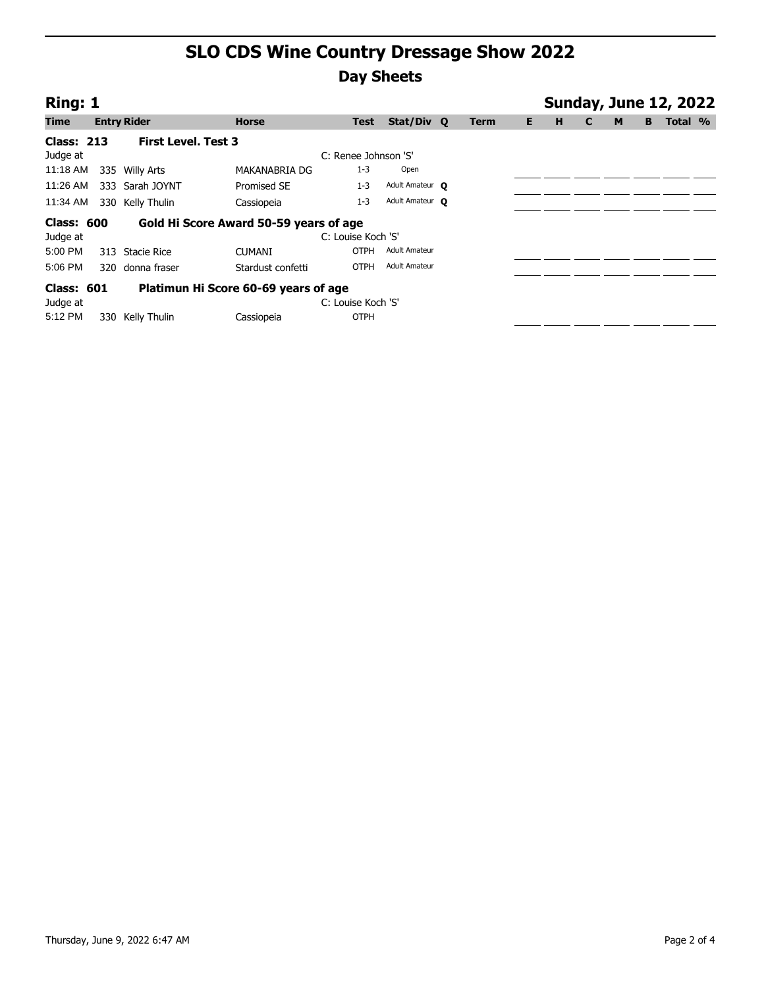| Ring: 1                                                     |     |                            |                                      |                      |                      |  |             |    |   |   |   |   | <b>Sunday, June 12, 2022</b> |  |
|-------------------------------------------------------------|-----|----------------------------|--------------------------------------|----------------------|----------------------|--|-------------|----|---|---|---|---|------------------------------|--|
| Time                                                        |     | <b>Entry Rider</b>         | <b>Horse</b>                         | <b>Test</b>          | Stat/Div Q           |  | <b>Term</b> | E. | н | C | M | B | Total %                      |  |
| <b>Class: 213</b>                                           |     | <b>First Level. Test 3</b> |                                      |                      |                      |  |             |    |   |   |   |   |                              |  |
| Judge at                                                    |     |                            |                                      | C: Renee Johnson 'S' |                      |  |             |    |   |   |   |   |                              |  |
| 11:18 AM                                                    |     | 335 Willy Arts             | MAKANABRIA DG                        | $1 - 3$              | Open                 |  |             |    |   |   |   |   |                              |  |
| 11:26 AM                                                    |     | 333 Sarah JOYNT            | Promised SE                          | $1 - 3$              | Adult Amateur O      |  |             |    |   |   |   |   |                              |  |
| 11:34 AM                                                    |     | 330 Kelly Thulin           | Cassiopeia                           | $1 - 3$              | Adult Amateur O      |  |             |    |   |   |   |   |                              |  |
| <b>Class: 600</b><br>Gold Hi Score Award 50-59 years of age |     |                            |                                      |                      |                      |  |             |    |   |   |   |   |                              |  |
| Judge at                                                    |     |                            |                                      | C: Louise Koch 'S'   |                      |  |             |    |   |   |   |   |                              |  |
| 5:00 PM                                                     |     | 313 Stacie Rice            | <b>CUMANI</b>                        | <b>OTPH</b>          | <b>Adult Amateur</b> |  |             |    |   |   |   |   |                              |  |
| 5:06 PM                                                     | 320 | donna fraser               | Stardust confetti                    | <b>OTPH</b>          | <b>Adult Amateur</b> |  |             |    |   |   |   |   |                              |  |
| <b>Class: 601</b>                                           |     |                            | Platimun Hi Score 60-69 years of age |                      |                      |  |             |    |   |   |   |   |                              |  |
| Judge at                                                    |     |                            |                                      | C: Louise Koch 'S'   |                      |  |             |    |   |   |   |   |                              |  |
| 5:12 PM                                                     | 330 | Kelly Thulin               | Cassiopeia                           | <b>OTPH</b>          |                      |  |             |    |   |   |   |   |                              |  |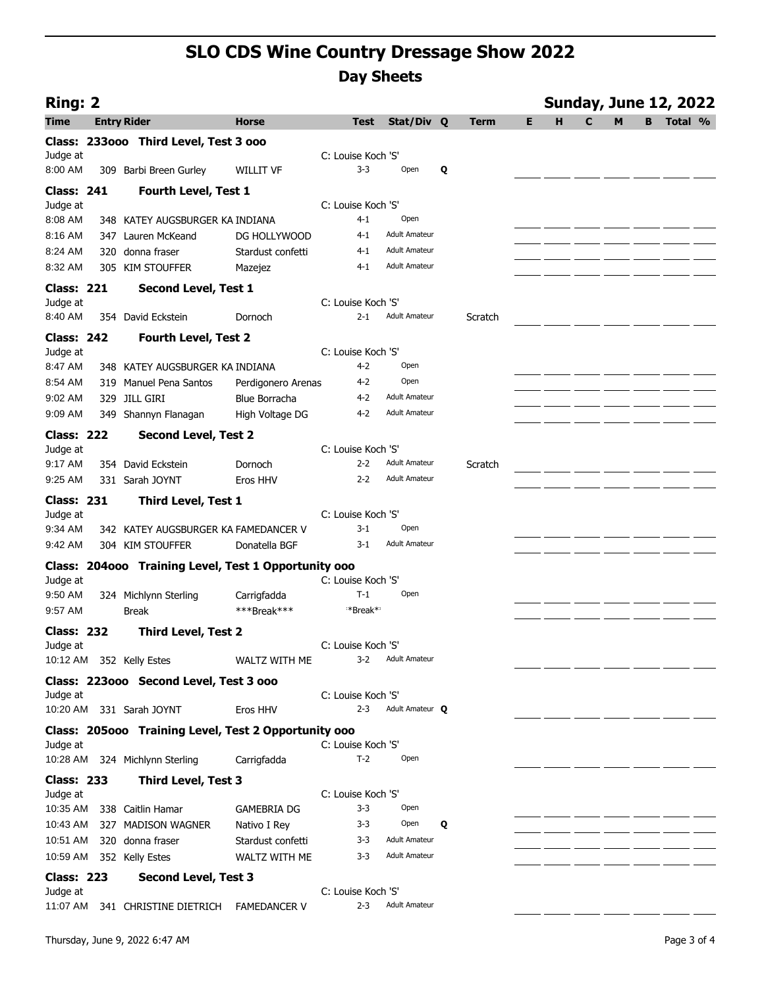| <b>Ring: 2</b>           |                    |                                                      |                      |                    |                      |   |             | <b>Sunday, June 12, 2022</b> |   |   |   |   |         |  |  |  |
|--------------------------|--------------------|------------------------------------------------------|----------------------|--------------------|----------------------|---|-------------|------------------------------|---|---|---|---|---------|--|--|--|
| Time                     | <b>Entry Rider</b> |                                                      | <b>Horse</b>         | <b>Test</b>        | Stat/Div Q           |   | <b>Term</b> | Е                            | н | C | M | B | Total % |  |  |  |
|                          |                    | Class: 233000 Third Level, Test 3 000                |                      |                    |                      |   |             |                              |   |   |   |   |         |  |  |  |
| Judge at                 |                    |                                                      |                      | C: Louise Koch 'S' |                      |   |             |                              |   |   |   |   |         |  |  |  |
| 8:00 AM                  |                    | 309 Barbi Breen Gurley                               | <b>WILLIT VF</b>     | $3 - 3$            | Open                 | Q |             |                              |   |   |   |   |         |  |  |  |
| <b>Class: 241</b>        |                    | Fourth Level, Test 1                                 |                      |                    |                      |   |             |                              |   |   |   |   |         |  |  |  |
| Judge at                 |                    |                                                      |                      | C: Louise Koch 'S' |                      |   |             |                              |   |   |   |   |         |  |  |  |
| 8:08 AM                  |                    | 348 KATEY AUGSBURGER KA INDIANA                      |                      | $4 - 1$            | Open                 |   |             |                              |   |   |   |   |         |  |  |  |
| 8:16 AM                  |                    | 347 Lauren McKeand                                   | DG HOLLYWOOD         | $4 - 1$            | <b>Adult Amateur</b> |   |             |                              |   |   |   |   |         |  |  |  |
| 8:24 AM                  |                    | 320 donna fraser                                     | Stardust confetti    | 4-1                | <b>Adult Amateur</b> |   |             |                              |   |   |   |   |         |  |  |  |
| 8:32 AM                  |                    | 305 KIM STOUFFER                                     | Mazejez              | 4-1                | <b>Adult Amateur</b> |   |             |                              |   |   |   |   |         |  |  |  |
| <b>Class: 221</b>        |                    | <b>Second Level, Test 1</b>                          |                      |                    |                      |   |             |                              |   |   |   |   |         |  |  |  |
| Judge at                 |                    |                                                      |                      | C: Louise Koch 'S' |                      |   |             |                              |   |   |   |   |         |  |  |  |
| 8:40 AM                  |                    | 354 David Eckstein                                   | Dornoch              | $2 - 1$            | <b>Adult Amateur</b> |   | Scratch     |                              |   |   |   |   |         |  |  |  |
| <b>Class: 242</b>        |                    | <b>Fourth Level, Test 2</b>                          |                      |                    |                      |   |             |                              |   |   |   |   |         |  |  |  |
| Judge at                 |                    |                                                      |                      | C: Louise Koch 'S' |                      |   |             |                              |   |   |   |   |         |  |  |  |
| 8:47 AM                  |                    | 348 KATEY AUGSBURGER KA INDIANA                      |                      | 4-2                | Open                 |   |             |                              |   |   |   |   |         |  |  |  |
| 8:54 AM                  |                    | 319 Manuel Pena Santos                               | Perdigonero Arenas   | $4-2$              | Open                 |   |             |                              |   |   |   |   |         |  |  |  |
| 9:02 AM                  |                    | 329 JILL GIRI                                        | <b>Blue Borracha</b> | 4-2                | <b>Adult Amateur</b> |   |             |                              |   |   |   |   |         |  |  |  |
| 9:09 AM                  |                    | 349 Shannyn Flanagan                                 | High Voltage DG      | $4-2$              | <b>Adult Amateur</b> |   |             |                              |   |   |   |   |         |  |  |  |
| <b>Class: 222</b>        |                    | <b>Second Level, Test 2</b>                          |                      |                    |                      |   |             |                              |   |   |   |   |         |  |  |  |
| Judge at                 |                    |                                                      |                      | C: Louise Koch 'S' |                      |   |             |                              |   |   |   |   |         |  |  |  |
| 9:17 AM                  |                    | 354 David Eckstein                                   | Dornoch              | $2 - 2$            | <b>Adult Amateur</b> |   | Scratch     |                              |   |   |   |   |         |  |  |  |
| 9:25 AM                  |                    | 331 Sarah JOYNT                                      | Eros HHV             | 2-2                | <b>Adult Amateur</b> |   |             |                              |   |   |   |   |         |  |  |  |
| <b>Class: 231</b>        |                    | <b>Third Level, Test 1</b>                           |                      |                    |                      |   |             |                              |   |   |   |   |         |  |  |  |
| Judge at                 |                    |                                                      |                      | C: Louise Koch 'S' |                      |   |             |                              |   |   |   |   |         |  |  |  |
| 9:34 AM                  |                    | 342 KATEY AUGSBURGER KA FAMEDANCER V                 |                      | $3 - 1$            | Open                 |   |             |                              |   |   |   |   |         |  |  |  |
| 9:42 AM                  |                    | 304 KIM STOUFFER                                     | Donatella BGF        | $3 - 1$            | <b>Adult Amateur</b> |   |             |                              |   |   |   |   |         |  |  |  |
|                          |                    | Class: 204000 Training Level, Test 1 Opportunity 000 |                      |                    |                      |   |             |                              |   |   |   |   |         |  |  |  |
| Judge at                 |                    |                                                      |                      | C: Louise Koch 'S' |                      |   |             |                              |   |   |   |   |         |  |  |  |
| 9:50 AM                  |                    | 324 Michlynn Sterling                                | Carrigfadda          | $T-1$              | Open                 |   |             |                              |   |   |   |   |         |  |  |  |
| 9:57 AM                  |                    | <b>Break</b>                                         | ***Break***          | **Break**          |                      |   |             |                              |   |   |   |   |         |  |  |  |
| <b>Class: 232</b>        |                    | <b>Third Level, Test 2</b>                           |                      |                    |                      |   |             |                              |   |   |   |   |         |  |  |  |
| Judge at                 |                    |                                                      |                      | C: Louise Koch 'S' |                      |   |             |                              |   |   |   |   |         |  |  |  |
| 10:12 AM 352 Kelly Estes |                    |                                                      | WALTZ WITH ME        | 3-2                | <b>Adult Amateur</b> |   |             |                              |   |   |   |   |         |  |  |  |
|                          |                    | Class: 223000 Second Level, Test 3 000               |                      |                    |                      |   |             |                              |   |   |   |   |         |  |  |  |
| Judge at                 |                    |                                                      |                      | C: Louise Koch 'S' |                      |   |             |                              |   |   |   |   |         |  |  |  |
|                          |                    | 10:20 AM 331 Sarah JOYNT                             | Eros HHV             | $2 - 3$            | Adult Amateur O      |   |             |                              |   |   |   |   |         |  |  |  |
|                          |                    | Class: 205000 Training Level, Test 2 Opportunity 000 |                      |                    |                      |   |             |                              |   |   |   |   |         |  |  |  |
| Judge at                 |                    |                                                      |                      | C: Louise Koch 'S' |                      |   |             |                              |   |   |   |   |         |  |  |  |
| 10:28 AM                 |                    | 324 Michlynn Sterling                                | Carrigfadda          | $T-2$              | Open                 |   |             |                              |   |   |   |   |         |  |  |  |
| <b>Class: 233</b>        |                    | <b>Third Level, Test 3</b>                           |                      |                    |                      |   |             |                              |   |   |   |   |         |  |  |  |
| Judge at                 |                    |                                                      |                      | C: Louise Koch 'S' |                      |   |             |                              |   |   |   |   |         |  |  |  |
| 10:35 AM                 |                    | 338 Caitlin Hamar                                    | <b>GAMEBRIA DG</b>   | $3 - 3$            | Open                 |   |             |                              |   |   |   |   |         |  |  |  |
| 10:43 AM                 |                    | 327 MADISON WAGNER                                   | Nativo I Rey         | $3 - 3$            | Open                 | Q |             |                              |   |   |   |   |         |  |  |  |
| 10:51 AM                 |                    | 320 donna fraser                                     | Stardust confetti    | 3-3                | <b>Adult Amateur</b> |   |             |                              |   |   |   |   |         |  |  |  |
| 10:59 AM                 |                    | 352 Kelly Estes                                      | WALTZ WITH ME        | 3-3                | <b>Adult Amateur</b> |   |             |                              |   |   |   |   |         |  |  |  |
| <b>Class: 223</b>        |                    | <b>Second Level, Test 3</b>                          |                      |                    |                      |   |             |                              |   |   |   |   |         |  |  |  |
| Judge at                 |                    |                                                      |                      | C: Louise Koch 'S' |                      |   |             |                              |   |   |   |   |         |  |  |  |
| 11:07 AM                 |                    | 341 CHRISTINE DIETRICH                               | <b>FAMEDANCER V</b>  | $2 - 3$            | <b>Adult Amateur</b> |   |             |                              |   |   |   |   |         |  |  |  |